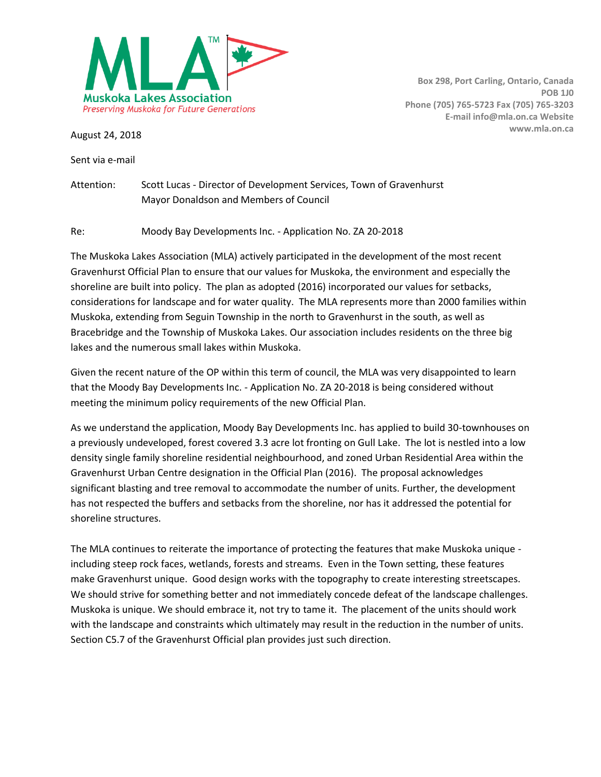

Sent via e-mail

Attention: Scott Lucas - Director of Development Services, Town of Gravenhurst Mayor Donaldson and Members of Council

Re: Moody Bay Developments Inc. - Application No. ZA 20-2018

The Muskoka Lakes Association (MLA) actively participated in the development of the most recent Gravenhurst Official Plan to ensure that our values for Muskoka, the environment and especially the shoreline are built into policy. The plan as adopted (2016) incorporated our values for setbacks, considerations for landscape and for water quality. The MLA represents more than 2000 families within Muskoka, extending from Seguin Township in the north to Gravenhurst in the south, as well as Bracebridge and the Township of Muskoka Lakes. Our association includes residents on the three big lakes and the numerous small lakes within Muskoka.

Given the recent nature of the OP within this term of council, the MLA was very disappointed to learn that the Moody Bay Developments Inc. - Application No. ZA 20-2018 is being considered without meeting the minimum policy requirements of the new Official Plan.

As we understand the application, Moody Bay Developments Inc. has applied to build 30-townhouses on a previously undeveloped, forest covered 3.3 acre lot fronting on Gull Lake. The lot is nestled into a low density single family shoreline residential neighbourhood, and zoned Urban Residential Area within the Gravenhurst Urban Centre designation in the Official Plan (2016). The proposal acknowledges significant blasting and tree removal to accommodate the number of units. Further, the development has not respected the buffers and setbacks from the shoreline, nor has it addressed the potential for shoreline structures.

The MLA continues to reiterate the importance of protecting the features that make Muskoka unique including steep rock faces, wetlands, forests and streams. Even in the Town setting, these features make Gravenhurst unique. Good design works with the topography to create interesting streetscapes. We should strive for something better and not immediately concede defeat of the landscape challenges. Muskoka is unique. We should embrace it, not try to tame it. The placement of the units should work with the landscape and constraints which ultimately may result in the reduction in the number of units. Section C5.7 of the Gravenhurst Official plan provides just such direction.

**Box 298, Port Carling, Ontario, Canada POB 1J0 Phone (705) 765-5723 Fax (705) 765-3203 E-mail info@mla.on.ca Website www.mla.on.ca** August 24, 2018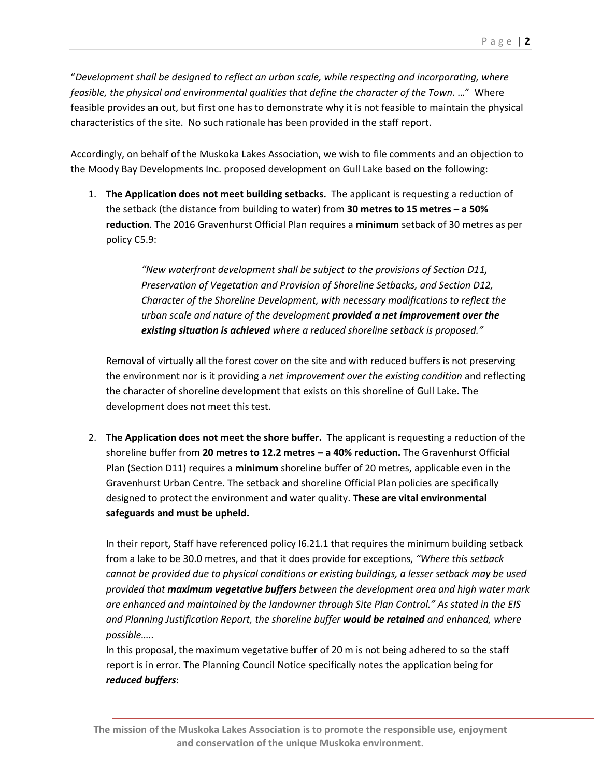"*Development shall be designed to reflect an urban scale, while respecting and incorporating, where feasible, the physical and environmental qualities that define the character of the Town.* …" Where feasible provides an out, but first one has to demonstrate why it is not feasible to maintain the physical characteristics of the site. No such rationale has been provided in the staff report.

Accordingly, on behalf of the Muskoka Lakes Association, we wish to file comments and an objection to the Moody Bay Developments Inc. proposed development on Gull Lake based on the following:

1. **The Application does not meet building setbacks.** The applicant is requesting a reduction of the setback (the distance from building to water) from **30 metres to 15 metres – a 50% reduction**. The 2016 Gravenhurst Official Plan requires a **minimum** setback of 30 metres as per policy C5.9:

> *"New waterfront development shall be subject to the provisions of Section D11, Preservation of Vegetation and Provision of Shoreline Setbacks, and Section D12, Character of the Shoreline Development, with necessary modifications to reflect the urban scale and nature of the development provided a net improvement over the existing situation is achieved where a reduced shoreline setback is proposed."*

Removal of virtually all the forest cover on the site and with reduced buffers is not preserving the environment nor is it providing a *net improvement over the existing condition* and reflecting the character of shoreline development that exists on this shoreline of Gull Lake. The development does not meet this test.

2. **The Application does not meet the shore buffer.** The applicant is requesting a reduction of the shoreline buffer from **20 metres to 12.2 metres – a 40% reduction.** The Gravenhurst Official Plan (Section D11) requires a **minimum** shoreline buffer of 20 metres, applicable even in the Gravenhurst Urban Centre. The setback and shoreline Official Plan policies are specifically designed to protect the environment and water quality. **These are vital environmental safeguards and must be upheld.** 

In their report, Staff have referenced policy I6.21.1 that requires the minimum building setback from a lake to be 30.0 metres, and that it does provide for exceptions, *"Where this setback cannot be provided due to physical conditions or existing buildings, a lesser setback may be used provided that maximum vegetative buffers between the development area and high water mark are enhanced and maintained by the landowner through Site Plan Control." As stated in the EIS and Planning Justification Report, the shoreline buffer would be retained and enhanced, where possible…..*

In this proposal, the maximum vegetative buffer of 20 m is not being adhered to so the staff report is in error*.* The Planning Council Notice specifically notes the application being for *reduced buffers*:

**The mission of the Muskoka Lakes Association is to promote the responsible use, enjoyment and conservation of the unique Muskoka environment.**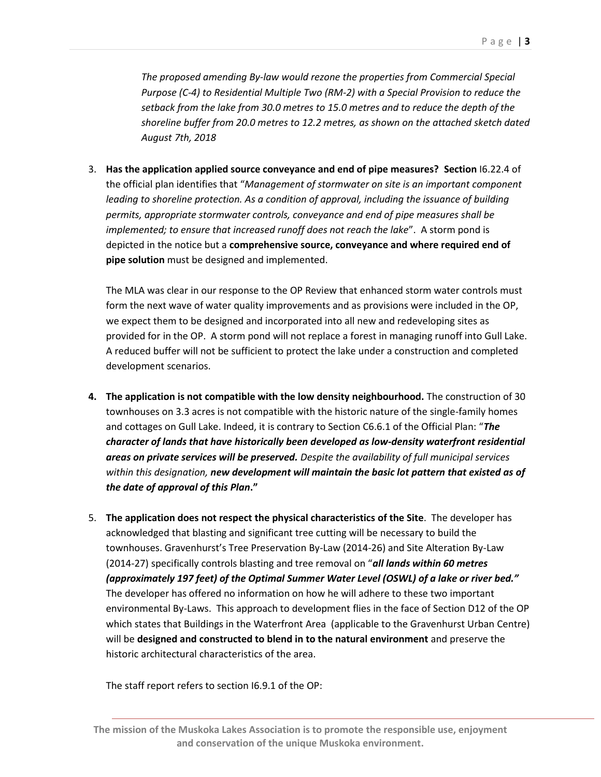*The proposed amending By-law would rezone the properties from Commercial Special Purpose (C-4) to Residential Multiple Two (RM-2) with a Special Provision to reduce the setback from the lake from 30.0 metres to 15.0 metres and to reduce the depth of the shoreline buffer from 20.0 metres to 12.2 metres, as shown on the attached sketch dated August 7th, 2018*

3. **Has the application applied source conveyance and end of pipe measures? Section** I6.22.4 of the official plan identifies that "*Management of stormwater on site is an important component*  leading to shoreline protection. As a condition of approval, including the issuance of building *permits, appropriate stormwater controls, conveyance and end of pipe measures shall be implemented; to ensure that increased runoff does not reach the lake*". A storm pond is depicted in the notice but a **comprehensive source, conveyance and where required end of pipe solution** must be designed and implemented.

The MLA was clear in our response to the OP Review that enhanced storm water controls must form the next wave of water quality improvements and as provisions were included in the OP, we expect them to be designed and incorporated into all new and redeveloping sites as provided for in the OP. A storm pond will not replace a forest in managing runoff into Gull Lake. A reduced buffer will not be sufficient to protect the lake under a construction and completed development scenarios.

- **4. The application is not compatible with the low density neighbourhood.** The construction of 30 townhouses on 3.3 acres is not compatible with the historic nature of the single-family homes and cottages on Gull Lake. Indeed, it is contrary to Section C6.6.1 of the Official Plan: "*The character of lands that have historically been developed as low-density waterfront residential areas on private services will be preserved. Despite the availability of full municipal services within this designation, new development will maintain the basic lot pattern that existed as of the date of approval of this Plan***."**
- 5. **The application does not respect the physical characteristics of the Site**. The developer has acknowledged that blasting and significant tree cutting will be necessary to build the townhouses. Gravenhurst's Tree Preservation By-Law (2014-26) and Site Alteration By-Law (2014-27) specifically controls blasting and tree removal on "*all lands within 60 metres (approximately 197 feet) of the Optimal Summer Water Level (OSWL) of a lake or river bed."*  The developer has offered no information on how he will adhere to these two important environmental By-Laws. This approach to development flies in the face of Section D12 of the OP which states that Buildings in the Waterfront Area (applicable to the Gravenhurst Urban Centre) will be **designed and constructed to blend in to the natural environment** and preserve the historic architectural characteristics of the area.

The staff report refers to section I6.9.1 of the OP:

**The mission of the Muskoka Lakes Association is to promote the responsible use, enjoyment and conservation of the unique Muskoka environment.**